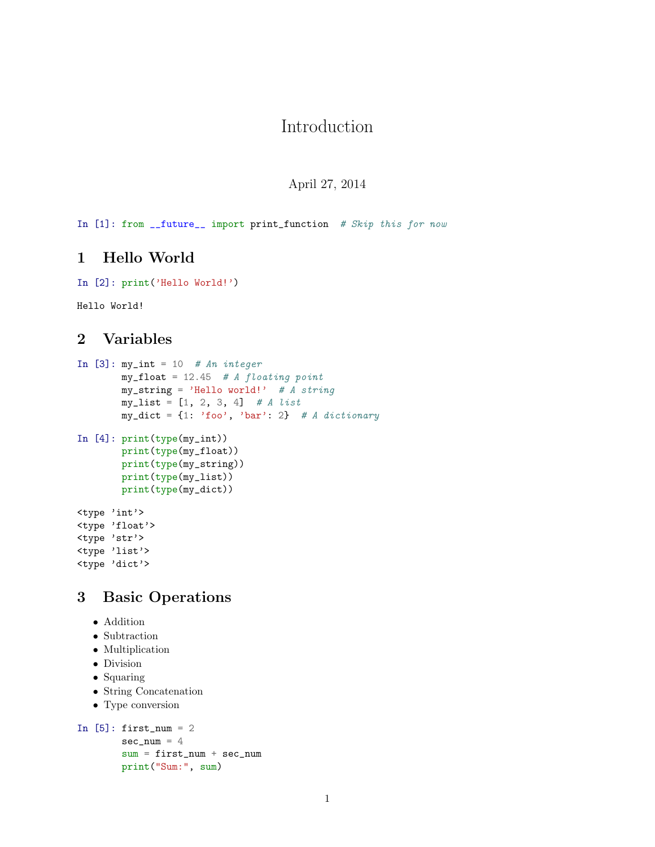# Introduction

April 27, 2014

In [1]: from \_\_future\_\_ import print\_function # Skip this for now

## 1 Hello World

```
In [2]: print('Hello World!')
```
Hello World!

## 2 Variables

```
In [3]: my_int = 10 # An integer
        my\_float = 12.45 # A floating point
        my_string = 'Hello world!' # A string
        my\_list = [1, 2, 3, 4] # A list
        my\_dict = \{1: 'foo', 'bar': 2\} # A dictionary
In [4]: print(type(my_int))
        print(type(my_float))
        print(type(my_string))
        print(type(my_list))
        print(type(my_dict))
<type 'int'>
<type 'float'>
<type 'str'>
<type 'list'>
<type 'dict'>
```
# 3 Basic Operations

- Addition
- Subtraction
- Multiplication
- Division
- Squaring
- String Concatenation
- Type conversion

```
In [5]: first_num = 2
       sec\_num = 4sum = first_name + sec_nameprint("Sum:", sum)
```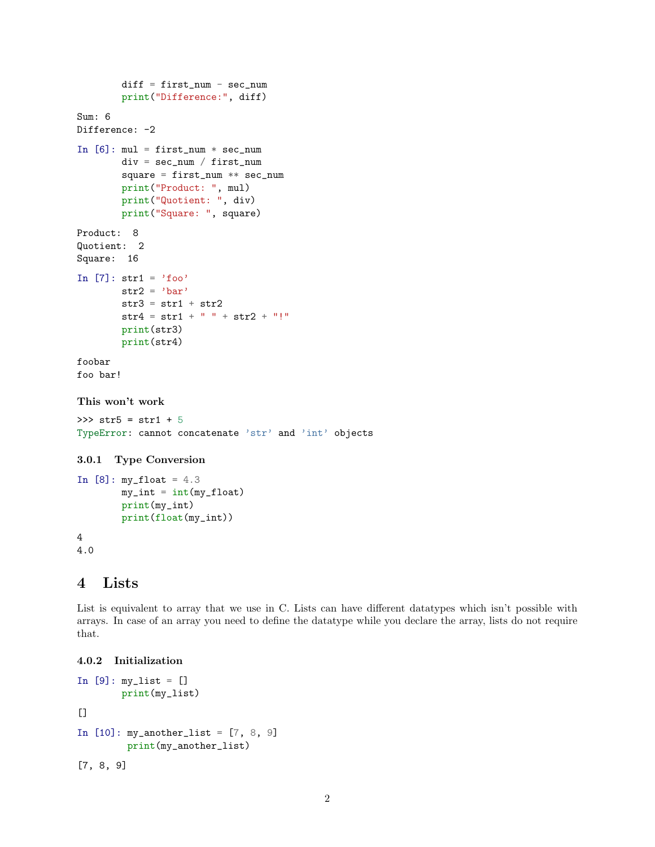```
diff = first_number - sec_numberprint("Difference:", diff)
Sum: 6
Difference: -2
In [6]: mul = first_num * sec_num
       div = sec_num / first_num
        square = first_num ** sec_num
       print("Product: ", mul)
       print("Quotient: ", div)
       print("Square: ", square)
Product: 8
Quotient: 2
Square: 16
In [7]: str1 = 'foo'
       str2 = 'bar'str3 = str1 + str2str4 = str1 + " " + str2 + "!"print(str3)
       print(str4)
foobar
foo bar!
This won't work
>>> str5 = str1 + 5
TypeError: cannot concatenate 'str' and 'int' objects
3.0.1 Type Conversion
```

```
In [8]: my_float = 4.3
        my\_int = int(my_fload)print(my_int)
        print(float(my_int))
4
4.0
```
#### 4 Lists

List is equivalent to array that we use in C. Lists can have different datatypes which isn't possible with arrays. In case of an array you need to define the datatype while you declare the array, lists do not require that.

```
4.0.2 Initialization
```

```
In [9]: my\_list = []print(my_list)
[In [10]: my_another_list = [7, 8, 9]
         print(my_another_list)
[7, 8, 9]
```